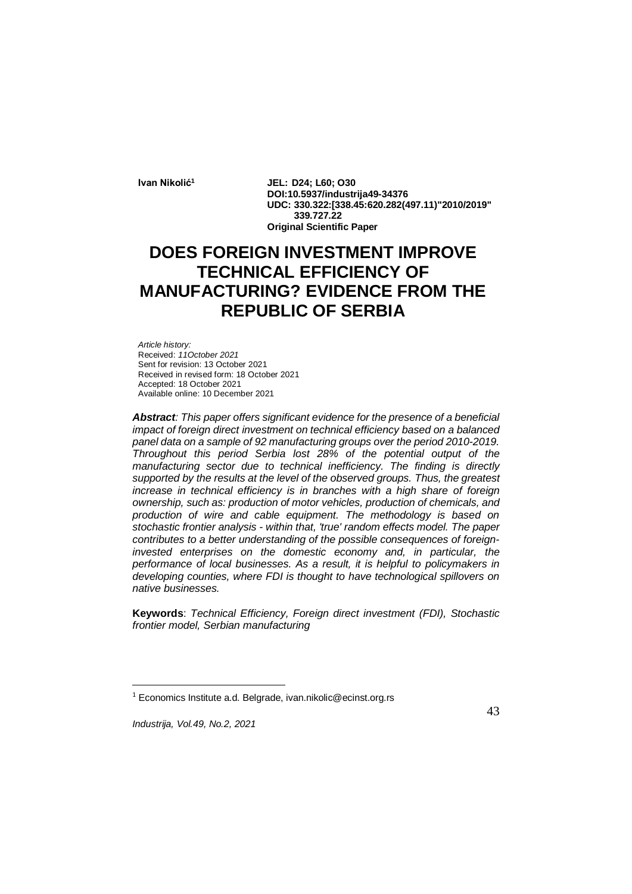**Ivan Nikolić<sup>1</sup> JEL: D24; L60; O30 DOI:10.5937/industrija49-34376 UDC: 330.322:[338.45:620.282(497.11)"2010/2019" 339.727.22 Original Scientific Paper**

# **DOES FOREIGN INVESTMENT IMPROVE TECHNICAL EFFICIENCY OF MANUFACTURING? EVIDENCE FROM THE REPUBLIC OF SERBIA**

*Article history:* Received: *11October 2021* Sent for revision: 13 October 2021 Received in revised form: 18 October 2021 Accepted: 18 October 2021 Available online: 10 December 2021

*Abstract: This paper offers significant evidence for the presence of a beneficial impact of foreign direct investment on technical efficiency based on a balanced panel data on a sample of 92 manufacturing groups over the period 2010-2019. Throughout this period Serbia lost 28% of the potential output of the manufacturing sector due to technical inefficiency. The finding is directly supported by the results at the level of the observed groups. Thus, the greatest increase in technical efficiency is in branches with a high share of foreign ownership, such as: production of motor vehicles, production of chemicals, and production of wire and cable equipment. The methodology is based on stochastic frontier analysis - within that, 'true' random effects model. The paper contributes to a better understanding of the possible consequences of foreigninvested enterprises on the domestic economy and, in particular, the performance of local businesses. As a result, it is helpful to policymakers in developing counties, where FDI is thought to have technological spillovers on native businesses.*

**Keywords**: *Technical Efficiency, Foreign direct investment (FDI), Stochastic frontier model, Serbian manufacturing*

1

<sup>1</sup> Economics Institute a.d. Belgrade, ivan.nikolic@ecinst.org.rs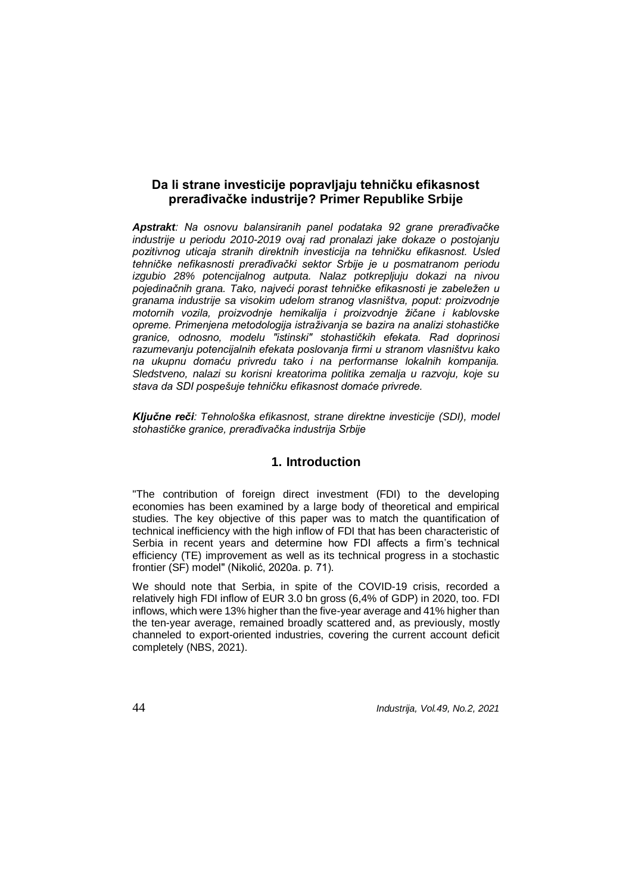# **Da li strane investicije popravljaju tehničku efikasnost prerađivačke industrije? Primer Republike Srbije**

*Apstrakt: Na osnovu balansiranih panel podataka 92 grane prerađivačke industrije u periodu 2010-2019 ovaj rad pronalazi jake dokaze o postojanju pozitivnog uticaja stranih direktnih investicija na tehničku efikasnost. Usled tehničke nefikasnosti prerađivački sektor Srbije je u posmatranom periodu izgubio 28% potencijalnog autputa. Nalaz potkrepljuju dokazi na nivou pojedinačnih grana. Tako, najveći porast tehničke efikasnosti je zabeležen u granama industrije sa visokim udelom stranog vlasništva, poput: proizvodnje motornih vozila, proizvodnje hemikalija i proizvodnje žičane i kablovske opreme. Primenjena metodologija istraživanja se bazira na analizi stohastičke granice, odnosno, modelu "istinski" stohastičkih efekata. Rad doprinosi razumevanju potencijalnih efekata poslovanja firmi u stranom vlasništvu kako na ukupnu domaću privredu tako i na performanse lokalnih kompanija. Sledstveno, nalazi su korisni kreatorima politika zemalja u razvoju, koje su stava da SDI pospešuje tehničku efikasnost domaće privrede.* 

*Ključne reči: Tehnološka efikasnost, strane direktne investicije (SDI), model stohastičke granice, prerađivačka industrija Srbije*

## **1. Introduction**

"The contribution of foreign direct investment (FDI) to the developing economies has been examined by a large body of theoretical and empirical studies. The key objective of this paper was to match the quantification of technical inefficiency with the high inflow of FDI that has been characteristic of Serbia in recent years and determine how FDI affects a firm's technical efficiency (TE) improvement as well as its technical progress in a stochastic frontier (SF) model" (Nikolić, 2020a. p. 71).

We should note that Serbia, in spite of the COVID-19 crisis, recorded a relatively high FDI inflow of EUR 3.0 bn gross (6,4% of GDP) in 2020, too. FDI inflows, which were 13% higher than the five-year average and 41% higher than the ten-year average, remained broadly scattered and, as previously, mostly channeled to export-oriented industries, covering the current account deficit completely (NBS, 2021).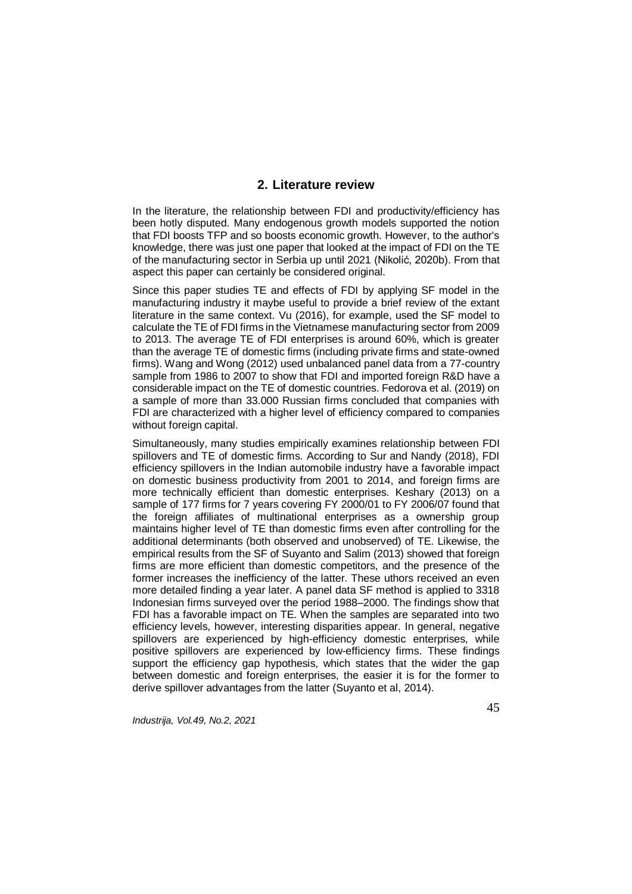## **2. Literature review**

In the literature, the relationship between FDI and productivity/efficiency has been hotly disputed. Many endogenous growth models supported the notion that FDI boosts TFP and so boosts economic growth. However, to the author's knowledge, there was just one paper that looked at the impact of FDI on the TE of the manufacturing sector in Serbia up until 2021 (Nikolić, 2020b). From that aspect this paper can certainly be considered original.

Since this paper studies TE and effects of FDI by applying SF model in the manufacturing industry it maybe useful to provide a brief review of the extant literature in the same context. Vu (2016), for example, used the SF model to calculate the TE of FDI firms in the Vietnamese manufacturing sector from 2009 to 2013. The average TE of FDI enterprises is around 60%, which is greater than the average TE of domestic firms (including private firms and state-owned firms). Wang and Wong (2012) used unbalanced panel data from a 77-country sample from 1986 to 2007 to show that FDI and imported foreign R&D have a considerable impact on the TE of domestic countries. Fedorova et al. (2019) on a sample of more than 33.000 Russian firms concluded that companies with FDI are characterized with a higher level of efficiency compared to companies without foreign capital.

Simultaneously, many studies empirically examines relationship between FDI spillovers and TE of domestic firms. According to Sur and Nandy (2018), FDI efficiency spillovers in the Indian automobile industry have a favorable impact on domestic business productivity from 2001 to 2014, and foreign firms are more technically efficient than domestic enterprises. Keshary (2013) on a sample of 177 firms for 7 years covering FY 2000/01 to FY 2006/07 found that the foreign affiliates of multinational enterprises as a ownership group maintains higher level of TE than domestic firms even after controlling for the additional determinants (both observed and unobserved) of TE. Likewise, the empirical results from the SF of Suyanto and Salim (2013) showed that foreign firms are more efficient than domestic competitors, and the presence of the former increases the inefficiency of the latter. These uthors received an even more detailed finding a year later. A panel data SF method is applied to 3318 Indonesian firms surveyed over the period 1988–2000. The findings show that FDI has a favorable impact on TE. When the samples are separated into two efficiency levels, however, interesting disparities appear. In general, negative spillovers are experienced by high-efficiency domestic enterprises, while positive spillovers are experienced by low-efficiency firms. These findings support the efficiency gap hypothesis, which states that the wider the gap between domestic and foreign enterprises, the easier it is for the former to derive spillover advantages from the latter (Suyanto et al, 2014).

*Industrija, Vol.49, No.2, 2021*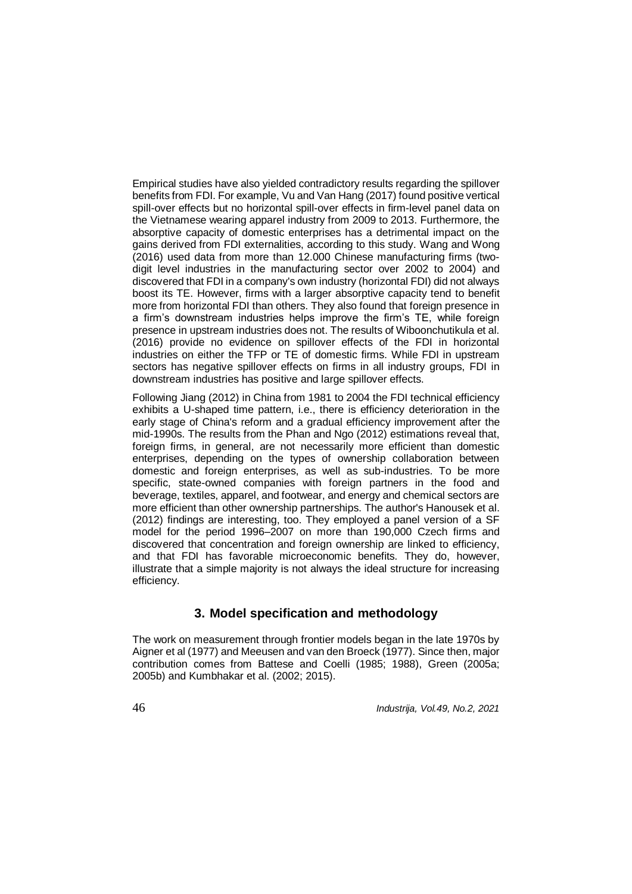Empirical studies have also yielded contradictory results regarding the spillover benefits from FDI. For example, Vu and Van Hang (2017) found positive vertical spill-over effects but no horizontal spill-over effects in firm-level panel data on the Vietnamese wearing apparel industry from 2009 to 2013. Furthermore, the absorptive capacity of domestic enterprises has a detrimental impact on the gains derived from FDI externalities, according to this study. Wang and Wong (2016) used data from more than 12.000 Chinese manufacturing firms (twodigit level industries in the manufacturing sector over 2002 to 2004) and discovered that FDI in a company's own industry (horizontal FDI) did not always boost its TE. However, firms with a larger absorptive capacity tend to benefit more from horizontal FDI than others. They also found that foreign presence in a firm's downstream industries helps improve the firm's TE, while foreign presence in upstream industries does not. The results of Wiboonchutikula et al. (2016) provide no evidence on spillover effects of the FDI in horizontal industries on either the TFP or TE of domestic firms. While FDI in upstream sectors has negative spillover effects on firms in all industry groups. FDI in downstream industries has positive and large spillover effects.

Following Jiang (2012) in China from 1981 to 2004 the FDI technical efficiency exhibits a U-shaped time pattern, i.e., there is efficiency deterioration in the early stage of China's reform and a gradual efficiency improvement after the mid-1990s. The results from the Phan and Ngo (2012) estimations reveal that, foreign firms, in general, are not necessarily more efficient than domestic enterprises, depending on the types of ownership collaboration between domestic and foreign enterprises, as well as sub-industries. To be more specific, state-owned companies with foreign partners in the food and beverage, textiles, apparel, and footwear, and energy and chemical sectors are more efficient than other ownership partnerships. The author's Hanousek et al. (2012) findings are interesting, too. They employed a panel version of a SF model for the period 1996–2007 on more than 190,000 Czech firms and discovered that concentration and foreign ownership are linked to efficiency, and that FDI has favorable microeconomic benefits. They do, however, illustrate that a simple majority is not always the ideal structure for increasing efficiency.

# **3. Model specification and methodology**

The work on measurement through frontier models began in the late 1970s by Aigner et al (1977) and Meeusen and van den Broeck (1977). Since then, major contribution comes from Battese and Coelli (1985; 1988), Green (2005a; 2005b) and Kumbhakar et al. (2002; 2015).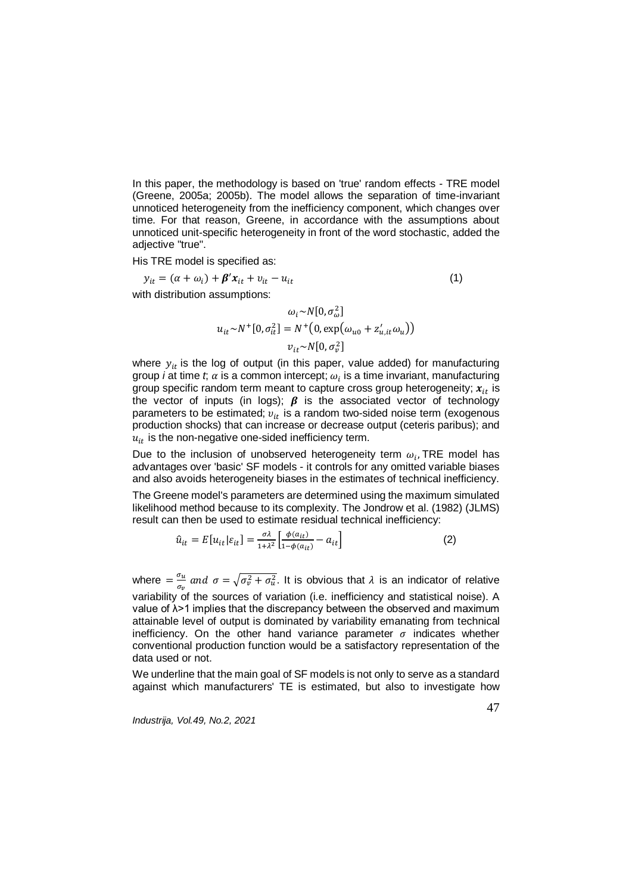In this paper, the methodology is based on 'true' random effects - TRE model (Greene, 2005a; 2005b). The model allows the separation of time-invariant unnoticed heterogeneity from the inefficiency component, which changes over time. For that reason, Greene, in accordance with the assumptions about unnoticed unit-specific heterogeneity in front of the word stochastic, added the adjective "true".

His TRE model is specified as:

$$
y_{it} = (\alpha + \omega_i) + \beta' x_{it} + v_{it} - u_{it}
$$
  
with distribution assumptions:  

$$
\omega_i \sim N[0, \sigma_\omega^2]
$$
 (1)

$$
u_{it} \sim N^+ [0, \sigma_{it}^2] = N^+ (0, \exp(\omega_{u0} + z'_{u,it} \omega_u))
$$

$$
v_{it} \sim N[0, \sigma_v^2]
$$

where  $y_{it}$  is the log of output (in this paper, value added) for manufacturing group *i* at time *t*;  $\alpha$  is a common intercept;  $\omega_i$  is a time invariant, manufacturing group specific random term meant to capture cross group heterogeneity;  $x_{it}$  is the vector of inputs (in logs);  $\beta$  is the associated vector of technology parameters to be estimated;  $v_{it}$  is a random two-sided noise term (exogenous production shocks) that can increase or decrease output (ceteris paribus); and  $u_{it}$  is the non-negative one-sided inefficiency term.

Due to the inclusion of unobserved heterogeneity term  $\omega_i$ , TRE model has advantages over 'basic' SF models - it controls for any omitted variable biases and also avoids heterogeneity biases in the estimates of technical inefficiency.

The Greene model's parameters are determined using the maximum simulated likelihood method because to its complexity. The Jondrow et al. (1982) (JLMS) result can then be used to estimate residual technical inefficiency:

$$
\hat{u}_{it} = E[u_{it}|\varepsilon_{it}] = \frac{\sigma \lambda}{1 + \lambda^2} \left[ \frac{\phi(a_{it})}{1 - \phi(a_{it})} - a_{it} \right]
$$
 (2)

where  $=\frac{\sigma_u}{\sigma_u}$  $\frac{\partial u}{\partial v}$  and  $\sigma = \sqrt{\sigma_v^2 + \sigma_u^2}$ . It is obvious that  $\lambda$  is an indicator of relative variability of the sources of variation (i.e. inefficiency and statistical noise). A value of λ>1 implies that the discrepancy between the observed and maximum attainable level of output is dominated by variability emanating from technical inefficiency. On the other hand variance parameter  $\sigma$  indicates whether conventional production function would be a satisfactory representation of the data used or not.

We underline that the main goal of SF models is not only to serve as a standard against which manufacturers' TE is estimated, but also to investigate how

*Industrija, Vol.49, No.2, 2021*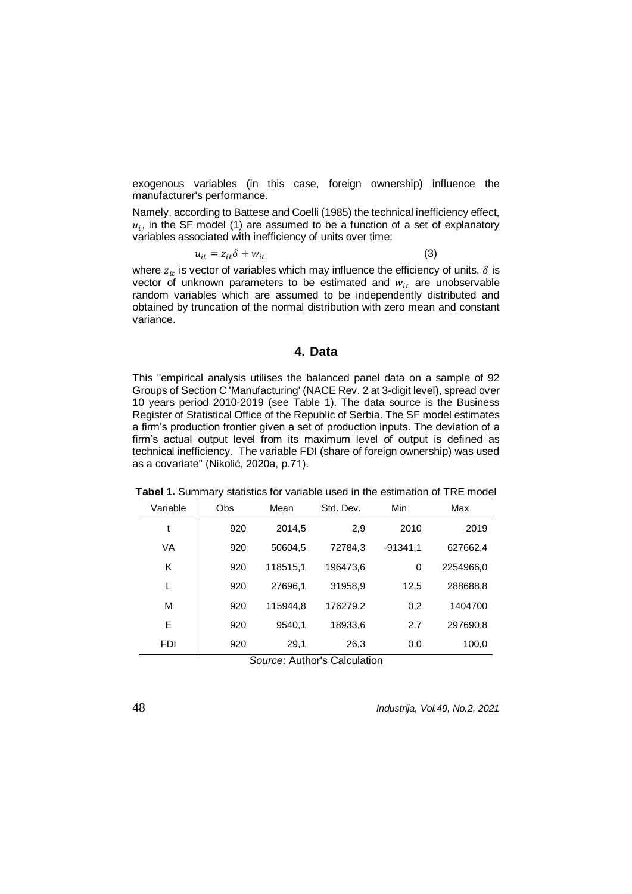exogenous variables (in this case, foreign ownership) influence the manufacturer's performance.

Namely, according to Battese and Coelli (1985) the technical inefficiency effect,  $u_i$ , in the SF model (1) are assumed to be a function of a set of explanatory variables associated with inefficiency of units over time:

$$
u_{it} = z_{it} \delta + w_{it} \tag{3}
$$

where  $z_{it}$  is vector of variables which may influence the efficiency of units,  $\delta$  is vector of unknown parameters to be estimated and  $w_{it}$  are unobservable random variables which are assumed to be independently distributed and obtained by truncation of the normal distribution with zero mean and constant variance.

#### **4. Data**

This "empirical analysis utilises the balanced panel data on a sample of 92 Groups of Section C 'Manufacturing' (NACE Rev. 2 at 3-digit level), spread over 10 years period 2010-2019 (see Table 1). The data source is the Business Register of Statistical Office of the Republic of Serbia. The SF model estimates a firm's production frontier given a set of production inputs. The deviation of a firm's actual output level from its maximum level of output is defined as technical inefficiency. The variable FDI (share of foreign ownership) was used as a covariate" (Nikolić, 2020a, p.71).

| Variable   | <b>Obs</b> | Mean                  | Std. Dev.                 | Min        | Max       |
|------------|------------|-----------------------|---------------------------|------------|-----------|
| t          | 920        | 2014,5                | 2,9                       | 2010       | 2019      |
| VA         | 920        | 50604,5               | 72784,3                   | $-91341.1$ | 627662,4  |
| ĸ          | 920        | 118515,1              | 196473,6                  | 0          | 2254966,0 |
| L          | 920        | 27696,1               | 31958,9                   | 12,5       | 288688,8  |
| м          | 920        | 115944.8              | 176279,2                  | 0,2        | 1404700   |
| Е          | 920        | 9540,1                | 18933,6                   | 2,7        | 297690,8  |
| <b>FDI</b> | 920        | 29,1<br>$\sim$ $\sim$ | 26,3<br>_ _ _ _<br>$\sim$ | 0,0        | 100,0     |

**Tabel 1.** Summary statistics for variable used in the estimation of TRE model

*Source*: Author's Calculation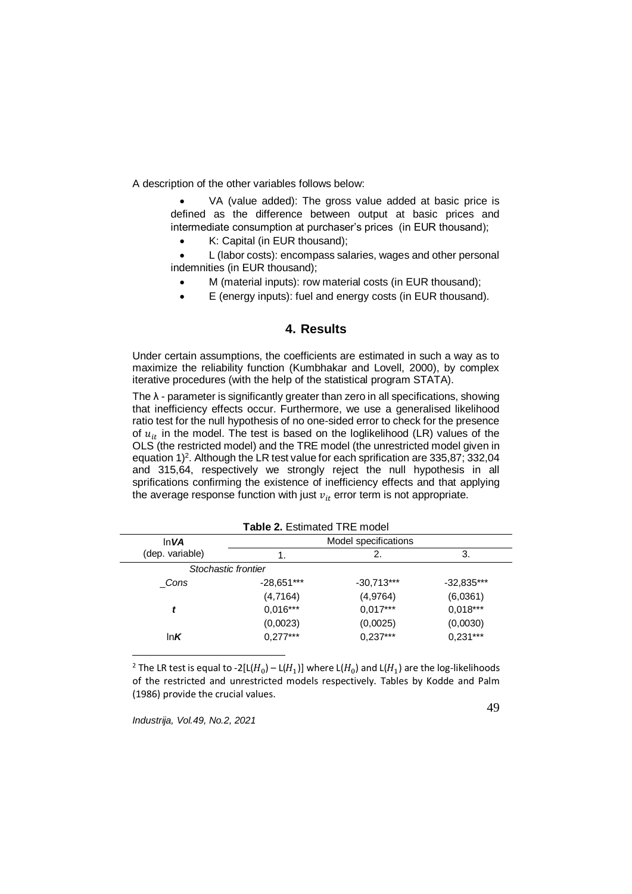A description of the other variables follows below:

 VA (value added): The gross value added at basic price is defined as the difference between output at basic prices and intermediate consumption at purchaser's prices (in EUR thousand);

• K: Capital (in EUR thousand):

 L (labor costs): encompass salaries, wages and other personal indemnities (in EUR thousand);

- M (material inputs): row material costs (in EUR thousand);
- E (energy inputs): fuel and energy costs (in EUR thousand).

## **4. Results**

Under certain assumptions, the coefficients are estimated in such a way as to maximize the reliability function (Kumbhakar and Lovell, 2000), by complex iterative procedures (with the help of the statistical program STATA).

The λ - parameter is significantly greater than zero in all specifications, showing that inefficiency effects occur. Furthermore, we use a generalised likelihood ratio test for the null hypothesis of no one-sided error to check for the presence of  $u_{it}$  in the model. The test is based on the loglikelihood (LR) values of the OLS (the restricted model) and the TRE model (the unrestricted model given in equation  $1)^2$ . Although the LR test value for each sprification are 335,87; 332,04 and 315,64, respectively we strongly reject the null hypothesis in all sprifications confirming the existence of inefficiency effects and that applying the average response function with just  $v_{it}$  error term is not appropriate.

|                     | <b>l able 2.</b> Estimated TRE model |                      |              |
|---------------------|--------------------------------------|----------------------|--------------|
| ln VA               |                                      | Model specifications |              |
| (dep. variable)     |                                      | 2.                   | 3.           |
| Stochastic frontier |                                      |                      |              |
| Cons                | $-28,651***$                         | $-30,713***$         | $-32,835***$ |
|                     | (4,7164)                             | (4,9764)             | (6,0361)     |
| t                   | $0,016***$                           | $0,017***$           | $0,018***$   |
|                     | (0,0023)                             | (0,0025)             | (0,0030)     |
| In $K$              | $0,277***$                           | $0,237***$           | $0,231***$   |

**Table 2.** Estimated TRE model

<sup>2</sup> The LR test is equal to -2[L( $H_0$ ) – L( $H_1$ )] where L( $H_0$ ) and L( $H_1$ ) are the log-likelihoods of the restricted and unrestricted models respectively. Tables by Kodde and Palm (1986) provide the crucial values.

*Industrija, Vol.49, No.2, 2021*

1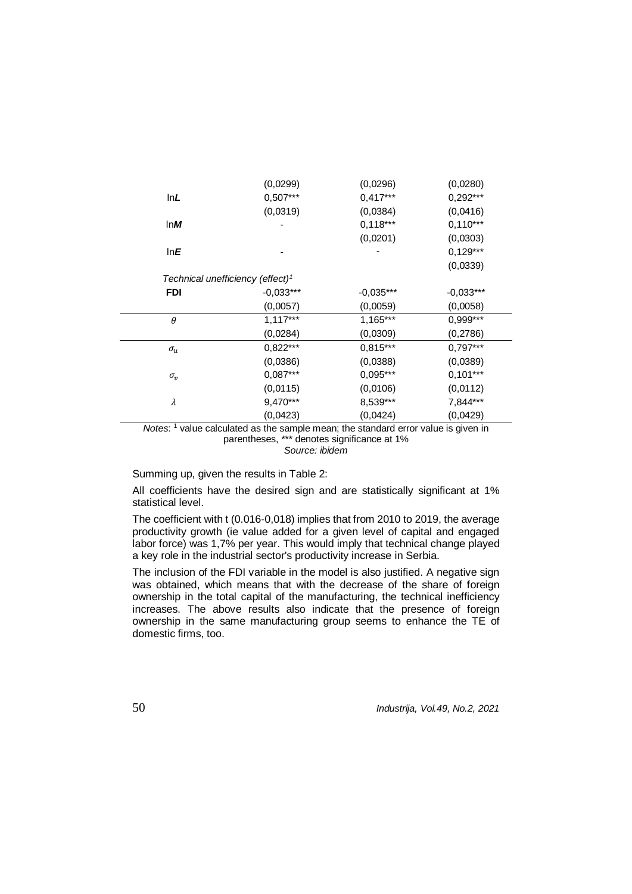|              | (0,0299)                                     | (0,0296)    | (0,0280)    |  |
|--------------|----------------------------------------------|-------------|-------------|--|
| lnL          | $0,507***$                                   | $0,417***$  | $0,292***$  |  |
|              | (0,0319)                                     | (0,0384)    | (0,0416)    |  |
| ln M         |                                              | $0,118***$  | $0,110***$  |  |
|              |                                              | (0,0201)    | (0,0303)    |  |
| lnE          |                                              |             | $0,129***$  |  |
|              |                                              |             | (0,0339)    |  |
|              | Technical unefficiency (effect) <sup>1</sup> |             |             |  |
| <b>FDI</b>   | $-0,033***$                                  | $-0,035***$ | $-0,033***$ |  |
|              | (0,0057)                                     | (0,0059)    | (0,0058)    |  |
| $\theta$     | $1,117***$                                   | $1,165***$  | $0,999***$  |  |
|              | (0,0284)                                     | (0,0309)    | (0, 2786)   |  |
| $\sigma_u$   | $0,822***$                                   | $0,815***$  | $0,797***$  |  |
|              | (0,0386)                                     | (0,0388)    | (0,0389)    |  |
| $\sigma_{v}$ | $0,087***$                                   | $0,095***$  | $0,101***$  |  |
|              | (0,0115)                                     | (0,0106)    | (0,0112)    |  |
| λ            | 9,470***                                     | 8,539***    | 7,844***    |  |
|              | (0,0423)                                     | (0,0424)    | (0,0429)    |  |

*Notes*: <sup>1</sup> value calculated as the sample mean; the standard error value is given in parentheses, \*\*\* denotes significance at 1% *Source: ibidem*

Summing up, given the results in Table 2:

All coefficients have the desired sign and are statistically significant at 1% statistical level.

The coefficient with t (0.016-0,018) implies that from 2010 to 2019, the average productivity growth (ie value added for a given level of capital and engaged labor force) was 1,7% per year. This would imply that technical change played a key role in the industrial sector's productivity increase in Serbia.

The inclusion of the FDI variable in the model is also justified. A negative sign was obtained, which means that with the decrease of the share of foreign ownership in the total capital of the manufacturing, the technical inefficiency increases. The above results also indicate that the presence of foreign ownership in the same manufacturing group seems to enhance the TE of domestic firms, too.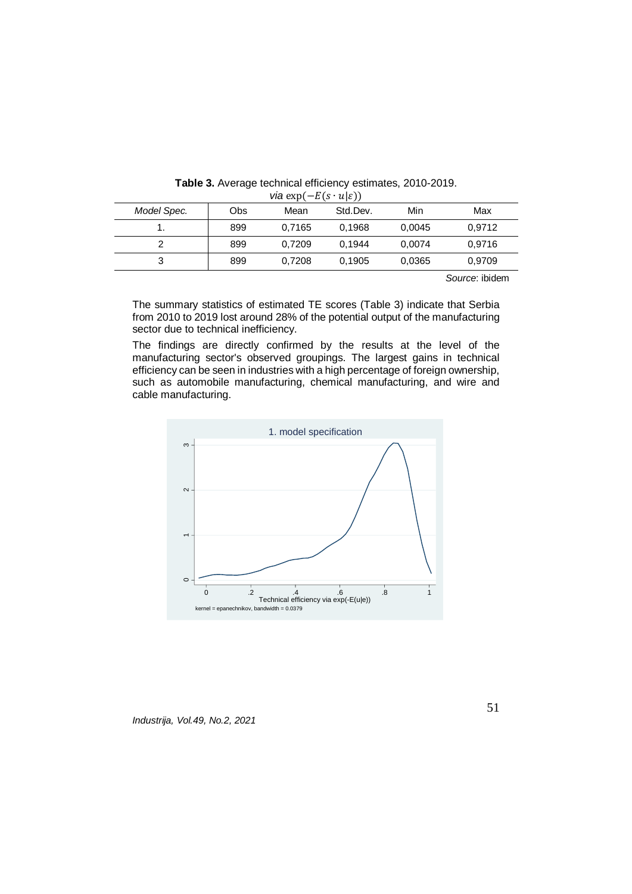| $\mathbf{r}$ and $\mathbf{r}$ and $\mathbf{r}$<br>$\sim$ $\sim$ $\prime$ |     |        |          |        |        |
|--------------------------------------------------------------------------|-----|--------|----------|--------|--------|
| Model Spec.                                                              | Obs | Mean   | Std.Dev. | Min    | Max    |
| Ι.                                                                       | 899 | 0.7165 | 0.1968   | 0.0045 | 0,9712 |
|                                                                          | 899 | 0.7209 | 0.1944   | 0.0074 | 0.9716 |
| 3                                                                        | 899 | 0.7208 | 0.1905   | 0,0365 | 0,9709 |
|                                                                          |     |        |          |        | .      |

**Table 3.** Average technical efficiency estimates, 2010-2019.  $via \exp(-E(s \cdot u|s))$ 

*Source*: ibidem

The summary statistics of estimated TE scores (Table 3) indicate that Serbia from 2010 to 2019 lost around 28% of the potential output of the manufacturing sector due to technical inefficiency.

The findings are directly confirmed by the results at the level of the manufacturing sector's observed groupings. The largest gains in technical efficiency can be seen in industries with a high percentage of foreign ownership, such as automobile manufacturing, chemical manufacturing, and wire and cable manufacturing.



*Industrija, Vol.49, No.2, 2021*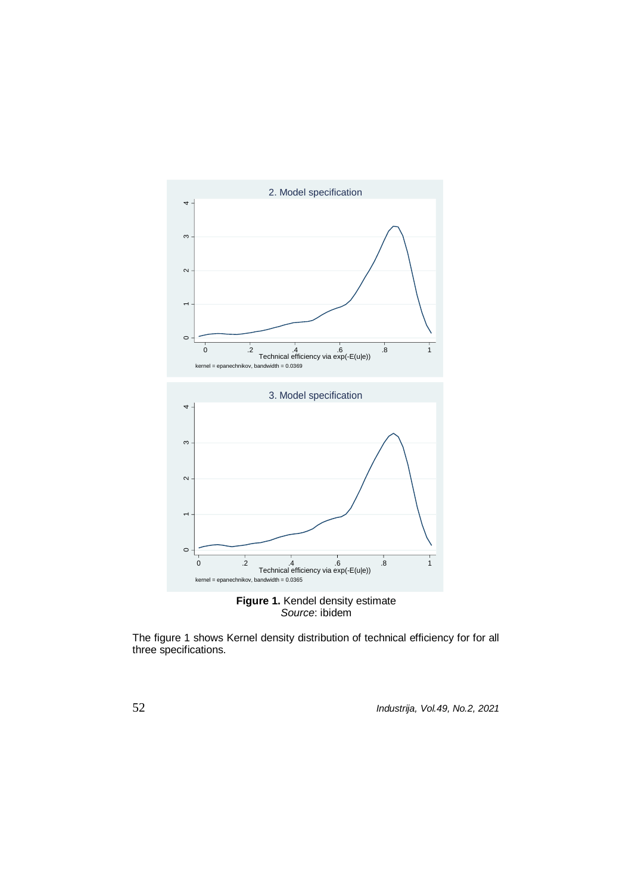

*Source*: ibidem

The figure 1 shows Kernel density distribution of technical efficiency for for all three specifications.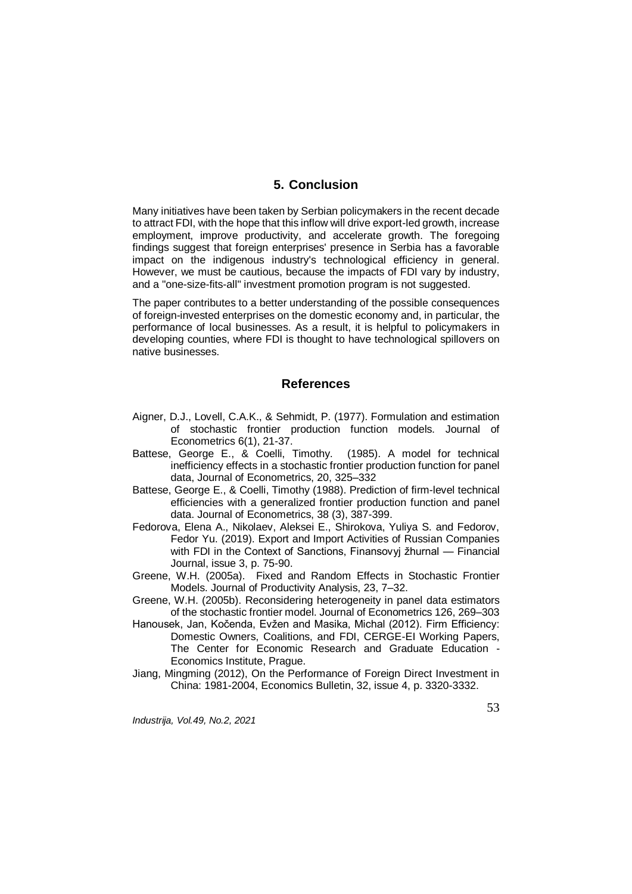## **5. Conclusion**

Many initiatives have been taken by Serbian policymakers in the recent decade to attract FDI, with the hope that this inflow will drive export-led growth, increase employment, improve productivity, and accelerate growth. The foregoing findings suggest that foreign enterprises' presence in Serbia has a favorable impact on the indigenous industry's technological efficiency in general. However, we must be cautious, because the impacts of FDI vary by industry, and a "one-size-fits-all" investment promotion program is not suggested.

The paper contributes to a better understanding of the possible consequences of foreign-invested enterprises on the domestic economy and, in particular, the performance of local businesses. As a result, it is helpful to policymakers in developing counties, where FDI is thought to have technological spillovers on native businesses.

#### **References**

- Aigner, D.J., Lovell, C.A.K., & Sehmidt, P. (1977). Formulation and estimation of stochastic frontier production function models. Journal of Econometrics 6(1), 21-37.
- Battese, George E., & Coelli, Timothy. (1985). A model for technical inefficiency effects in a stochastic frontier production function for panel data, Journal of Econometrics, 20, 325–332
- Battese, George E., & Coelli, Timothy (1988). Prediction of firm-level technical efficiencies with a generalized frontier production function and panel data. Journal of Econometrics, 38 (3), 387-399.
- Fedorova, Elena A., Nikolaev, Aleksei E., Shirokova, Yuliya S. and Fedorov, Fedor Yu. (2019). Export and Import Activities of Russian Companies with FDI in the Context of Sanctions, Finansovyj žhurnal — Financial Journal, issue 3, p. 75-90.
- Greene, W.H. (2005a). Fixed and Random Effects in Stochastic Frontier Models. Journal of Productivity Analysis, 23, 7–32.
- Greene, W.H. (2005b). Reconsidering heterogeneity in panel data estimators of the stochastic frontier model. Journal of Econometrics 126, 269–303
- Hanousek, Jan, Kočenda, Evžen and Masika, Michal (2012). Firm Efficiency: Domestic Owners, Coalitions, and FDI, CERGE-EI Working Papers, The Center for Economic Research and Graduate Education - Economics Institute, Prague.
- Jiang, Mingming (2012), On the Performance of Foreign Direct Investment in China: 1981-2004, Economics Bulletin, 32, issue 4, p. 3320-3332.

*Industrija, Vol.49, No.2, 2021*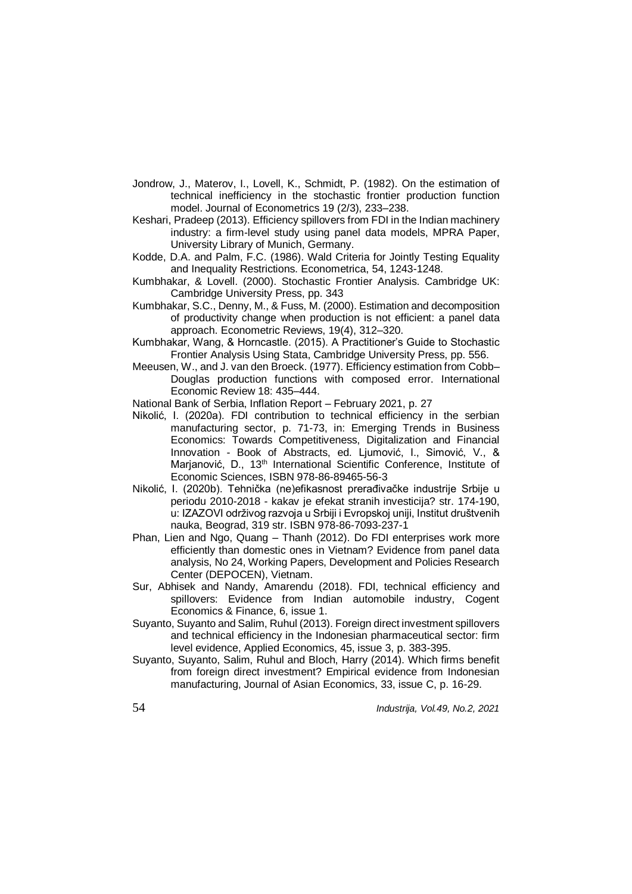- Jondrow, J., Materov, I., Lovell, K., Schmidt, P. (1982). On the estimation of technical inefficiency in the stochastic frontier production function model. Journal of Econometrics 19 (2/3), 233–238.
- Keshari, Pradeep (2013). Efficiency spillovers from FDI in the Indian machinery industry: a firm-level study using panel data models, MPRA Paper, University Library of Munich, Germany.
- Kodde, D.A. and Palm, F.C. (1986). Wald Criteria for Jointly Testing Equality and Inequality Restrictions. Econometrica, 54, 1243-1248.
- Kumbhakar, & Lovell. (2000). Stochastic Frontier Analysis. Cambridge UK: Cambridge University Press, pp. 343
- Kumbhakar, S.C., Denny, M., & Fuss, M. (2000). Estimation and decomposition of productivity change when production is not efficient: a panel data approach. Econometric Reviews, 19(4), 312–320.
- Kumbhakar, Wang, & Horncastle. (2015). A Practitioner's Guide to Stochastic Frontier Analysis Using Stata, Cambridge University Press, pp. 556.
- Meeusen, W., and J. van den Broeck. (1977). Efficiency estimation from Cobb– Douglas production functions with composed error. International Economic Review 18: 435–444.

National Bank of Serbia, Inflation Report – February 2021, p. 27

- Nikolić, I. (2020a). FDI contribution to technical efficiency in the serbian manufacturing sector, p. 71-73, in: Emerging Trends in Business Economics: Towards Competitiveness, Digitalization and Financial Innovation - Book of Abstracts, ed. Ljumović, I., Simović, V., & Marjanović, D., 13<sup>th</sup> International Scientific Conference, Institute of Economic Sciences, ISBN 978-86-89465-56-3
- Nikolić, I. (2020b). Tehnička (ne)efikasnost prerađivačke industrije Srbije u periodu 2010-2018 - kakav je efekat stranih investicija? str. 174-190, u: IZAZOVI održivog razvoja u Srbiji i Evropskoj uniji, Institut društvenih nauka, Beograd, 319 str. ISBN 978-86-7093-237-1
- Phan, Lien and Ngo, Quang Thanh (2012). Do FDI enterprises work more efficiently than domestic ones in Vietnam? Evidence from panel data analysis, No 24, Working Papers, Development and Policies Research Center (DEPOCEN), Vietnam.
- Sur, Abhisek and Nandy, Amarendu (2018). FDI, technical efficiency and spillovers: Evidence from Indian automobile industry, Cogent Economics & Finance, 6, issue 1.
- Suyanto, Suyanto and Salim, Ruhul (2013). Foreign direct investment spillovers and technical efficiency in the Indonesian pharmaceutical sector: firm level evidence, Applied Economics, 45, issue 3, p. 383-395.
- Suyanto, Suyanto, Salim, Ruhul and Bloch, Harry (2014). Which firms benefit from foreign direct investment? Empirical evidence from Indonesian manufacturing, Journal of Asian Economics, 33, issue C, p. 16-29.